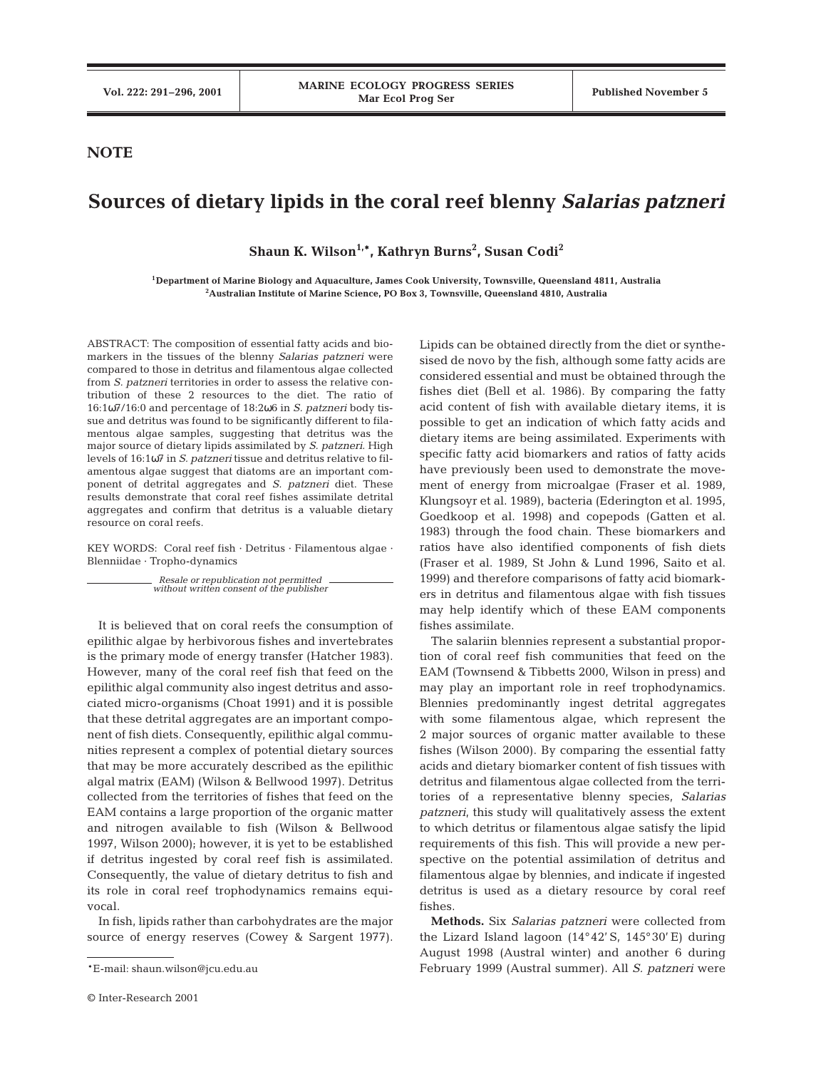## **NOTE**

## **Sources of dietary lipids in the coral reef blenny** *Salarias patzneri*

**Shaun K. Wilson1,\*, Kathryn Burns2 , Susan Codi2**

**1Department of Marine Biology and Aquaculture, James Cook University, Townsville, Queensland 4811, Australia 2 Australian Institute of Marine Science, PO Box 3, Townsville, Queensland 4810, Australia**

ABSTRACT: The composition of essential fatty acids and biomarkers in the tissues of the blenny *Salarias patzneri* were compared to those in detritus and filamentous algae collected from *S. patzneri* territories in order to assess the relative contribution of these 2 resources to the diet. The ratio of 16:1ω7/16:0 and percentage of 18:2ω6 in *S. patzneri* body tissue and detritus was found to be significantly different to filamentous algae samples, suggesting that detritus was the major source of dietary lipids assimilated by *S. patzneri*. High levels of 16:1ω7 in *S. patzneri* tissue and detritus relative to filamentous algae suggest that diatoms are an important component of detrital aggregates and *S. patzneri* diet. These results demonstrate that coral reef fishes assimilate detrital aggregates and confirm that detritus is a valuable dietary resource on coral reefs.

KEY WORDS: Coral reef fish · Detritus · Filamentous algae · Blenniidae · Tropho-dynamics

> *Resale or republication not permitted without written consent of the publisher*

It is believed that on coral reefs the consumption of epilithic algae by herbivorous fishes and invertebrates is the primary mode of energy transfer (Hatcher 1983). However, many of the coral reef fish that feed on the epilithic algal community also ingest detritus and associated micro-organisms (Choat 1991) and it is possible that these detrital aggregates are an important component of fish diets. Consequently, epilithic algal communities represent a complex of potential dietary sources that may be more accurately described as the epilithic algal matrix (EAM) (Wilson & Bellwood 1997). Detritus collected from the territories of fishes that feed on the EAM contains a large proportion of the organic matter and nitrogen available to fish (Wilson & Bellwood 1997, Wilson 2000); however, it is yet to be established if detritus ingested by coral reef fish is assimilated. Consequently, the value of dietary detritus to fish and its role in coral reef trophodynamics remains equivocal.

In fish, lipids rather than carbohydrates are the major source of energy reserves (Cowey & Sargent 1977).

Lipids can be obtained directly from the diet or synthesised de novo by the fish, although some fatty acids are considered essential and must be obtained through the fishes diet (Bell et al. 1986). By comparing the fatty acid content of fish with available dietary items, it is possible to get an indication of which fatty acids and dietary items are being assimilated. Experiments with specific fatty acid biomarkers and ratios of fatty acids have previously been used to demonstrate the movement of energy from microalgae (Fraser et al. 1989, Klungsoyr et al. 1989), bacteria (Ederington et al. 1995, Goedkoop et al. 1998) and copepods (Gatten et al. 1983) through the food chain. These biomarkers and ratios have also identified components of fish diets (Fraser et al. 1989, St John & Lund 1996, Saito et al. 1999) and therefore comparisons of fatty acid biomarkers in detritus and filamentous algae with fish tissues may help identify which of these EAM components fishes assimilate.

The salariin blennies represent a substantial proportion of coral reef fish communities that feed on the EAM (Townsend & Tibbetts 2000, Wilson in press) and may play an important role in reef trophodynamics. Blennies predominantly ingest detrital aggregates with some filamentous algae, which represent the 2 major sources of organic matter available to these fishes (Wilson 2000). By comparing the essential fatty acids and dietary biomarker content of fish tissues with detritus and filamentous algae collected from the territories of a representative blenny species, *Salarias patzneri*, this study will qualitatively assess the extent to which detritus or filamentous algae satisfy the lipid requirements of this fish. This will provide a new perspective on the potential assimilation of detritus and filamentous algae by blennies, and indicate if ingested detritus is used as a dietary resource by coral reef fishes.

**Methods.** Six *Salarias patzneri* were collected from the Lizard Island lagoon (14°42' S, 145°30' E) during August 1998 (Austral winter) and another 6 during February 1999 (Austral summer). All *S. patzneri* were

<sup>\*</sup>E-mail: shaun.wilson@jcu.edu.au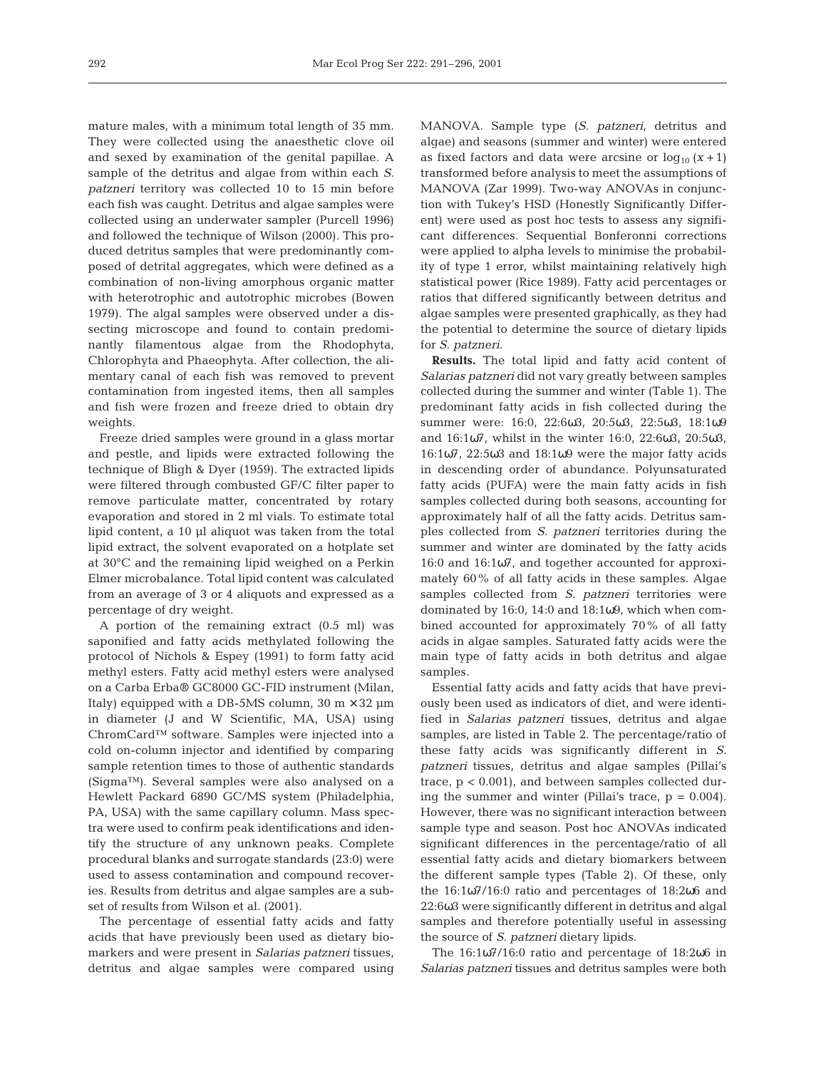mature males, with a minimum total length of 35 mm. They were collected using the anaesthetic clove oil and sexed by examination of the genital papillae. A sample of the detritus and algae from within each *S. patzneri* territory was collected 10 to 15 min before each fish was caught. Detritus and algae samples were collected using an underwater sampler (Purcell 1996) and followed the technique of Wilson (2000). This produced detritus samples that were predominantly composed of detrital aggregates, which were defined as a combination of non-living amorphous organic matter with heterotrophic and autotrophic microbes (Bowen 1979). The algal samples were observed under a dissecting microscope and found to contain predominantly filamentous algae from the Rhodophyta, Chlorophyta and Phaeophyta. After collection, the alimentary canal of each fish was removed to prevent contamination from ingested items, then all samples and fish were frozen and freeze dried to obtain dry weights.

Freeze dried samples were ground in a glass mortar and pestle, and lipids were extracted following the technique of Bligh & Dyer (1959). The extracted lipids were filtered through combusted GF/C filter paper to remove particulate matter, concentrated by rotary evaporation and stored in 2 ml vials. To estimate total lipid content, a 10 µl aliquot was taken from the total lipid extract, the solvent evaporated on a hotplate set at 30°C and the remaining lipid weighed on a Perkin Elmer microbalance. Total lipid content was calculated from an average of 3 or 4 aliquots and expressed as a percentage of dry weight.

A portion of the remaining extract (0.5 ml) was saponified and fatty acids methylated following the protocol of Nichols & Espey (1991) to form fatty acid methyl esters. Fatty acid methyl esters were analysed on a Carba Erba® GC8000 GC-FID instrument (Milan, Italy) equipped with a DB-5MS column,  $30 \text{ m} \times 32 \text{ µm}$ in diameter (J and W Scientific, MA, USA) using ChromCard™ software. Samples were injected into a cold on-column injector and identified by comparing sample retention times to those of authentic standards (Sigma™). Several samples were also analysed on a Hewlett Packard 6890 GC/MS system (Philadelphia, PA, USA) with the same capillary column. Mass spectra were used to confirm peak identifications and identify the structure of any unknown peaks. Complete procedural blanks and surrogate standards (23:0) were used to assess contamination and compound recoveries. Results from detritus and algae samples are a subset of results from Wilson et al. (2001).

The percentage of essential fatty acids and fatty acids that have previously been used as dietary biomarkers and were present in *Salarias patzneri* tissues, detritus and algae samples were compared using

MANOVA. Sample type (*S. patzneri*, detritus and algae) and seasons (summer and winter) were entered as fixed factors and data were arcsine or  $log_{10} (x + 1)$ transformed before analysis to meet the assumptions of MANOVA (Zar 1999). Two-way ANOVAs in conjunction with Tukey's HSD (Honestly Significantly Different) were used as post hoc tests to assess any significant differences. Sequential Bonferonni corrections were applied to alpha levels to minimise the probability of type 1 error, whilst maintaining relatively high statistical power (Rice 1989). Fatty acid percentages or ratios that differed significantly between detritus and algae samples were presented graphically, as they had the potential to determine the source of dietary lipids for *S. patzneri*.

**Results.** The total lipid and fatty acid content of *Salarias patzneri* did not vary greatly between samples collected during the summer and winter (Table 1). The predominant fatty acids in fish collected during the summer were: 16:0, 22:6ω3, 20:5ω3, 22:5ω3, 18:1ω9 and 16:1ω7, whilst in the winter 16:0, 22:6ω3, 20:5ω3, 16:1ω7, 22:5ω3 and 18:1ω9 were the major fatty acids in descending order of abundance. Polyunsaturated fatty acids (PUFA) were the main fatty acids in fish samples collected during both seasons, accounting for approximately half of all the fatty acids. Detritus samples collected from *S. patzneri* territories during the summer and winter are dominated by the fatty acids 16:0 and 16:1ω7, and together accounted for approximately 60% of all fatty acids in these samples. Algae samples collected from *S. patzneri* territories were dominated by 16:0, 14:0 and 18:1ω9, which when combined accounted for approximately 70% of all fatty acids in algae samples. Saturated fatty acids were the main type of fatty acids in both detritus and algae samples.

Essential fatty acids and fatty acids that have previously been used as indicators of diet, and were identified in *Salarias patzneri* tissues, detritus and algae samples, are listed in Table 2. The percentage/ratio of these fatty acids was significantly different in *S. patzneri* tissues, detritus and algae samples (Pillai's trace,  $p < 0.001$ , and between samples collected during the summer and winter (Pillai's trace,  $p = 0.004$ ). However, there was no significant interaction between sample type and season. Post hoc ANOVAs indicated significant differences in the percentage/ratio of all essential fatty acids and dietary biomarkers between the different sample types (Table 2). Of these, only the 16:1ω7/16:0 ratio and percentages of 18:2ω6 and 22:6ω3 were significantly different in detritus and algal samples and therefore potentially useful in assessing the source of *S. patzneri* dietary lipids.

The 16:1ω7/16:0 ratio and percentage of 18:2ω6 in *Salarias patzneri* tissues and detritus samples were both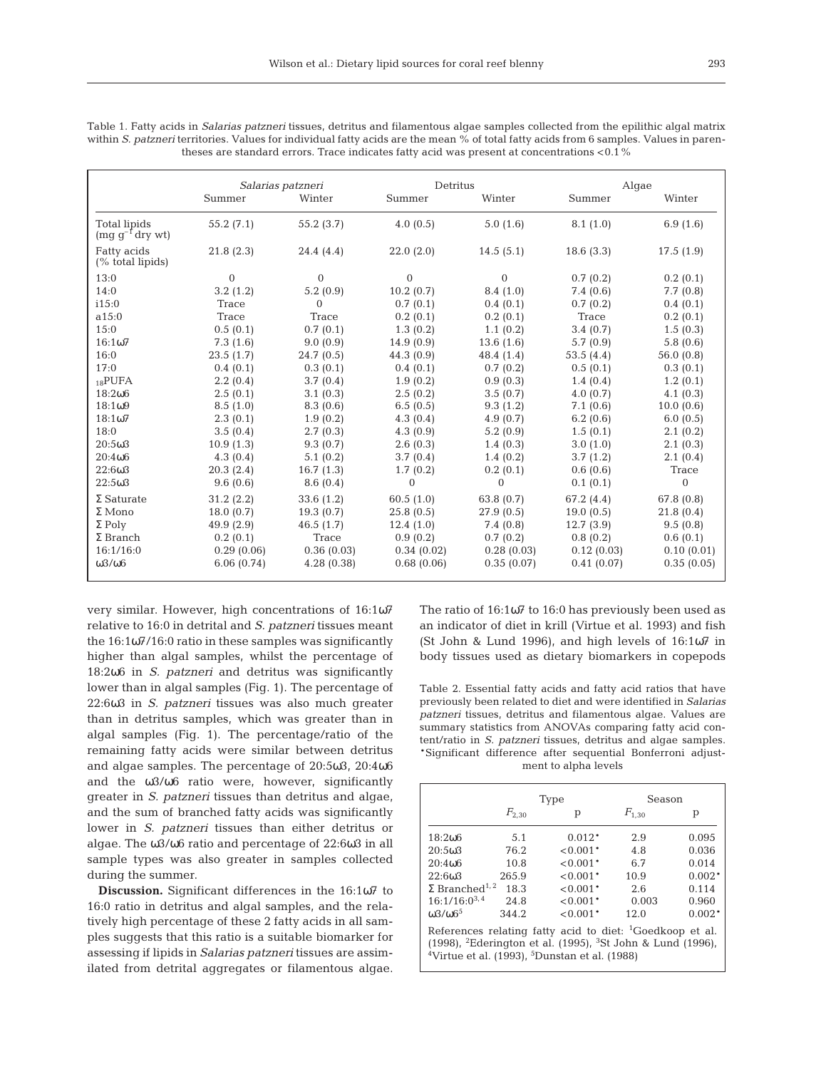| aleses are standard errors. Trace indicates ratty acid was present at concentrations <0.1 % |                   |              |                |                |            |              |  |
|---------------------------------------------------------------------------------------------|-------------------|--------------|----------------|----------------|------------|--------------|--|
|                                                                                             | Salarias patzneri |              | Detritus       |                | Algae      |              |  |
|                                                                                             | Summer            | Winter       | Summer         | Winter         | Summer     | Winter       |  |
| Total lipids<br>$(mg g^{-1}$ dry wt                                                         | 55.2(7.1)         | 55.2(3.7)    | 4.0(0.5)       | 5.0(1.6)       | 8.1(1.0)   | 6.9(1.6)     |  |
| Fatty acids<br>(% total lipids)                                                             | 21.8(2.3)         | 24.4(4.4)    | 22.0(2.0)      | 14.5(5.1)      | 18.6(3.3)  | 17.5(1.9)    |  |
| 13:0                                                                                        | $\mathbf{0}$      | $\mathbf{0}$ | $\overline{0}$ | $\mathbf{0}$   | 0.7(0.2)   | 0.2(0.1)     |  |
| 14:0                                                                                        | 3.2(1.2)          | 5.2(0.9)     | 10.2(0.7)      | 8.4(1.0)       | 7.4(0.6)   | 7.7(0.8)     |  |
| i15:0                                                                                       | Trace             | $\Omega$     | 0.7(0.1)       | 0.4(0.1)       | 0.7(0.2)   | 0.4(0.1)     |  |
| a15:0                                                                                       | Trace             | Trace        | 0.2(0.1)       | 0.2(0.1)       | Trace      | 0.2(0.1)     |  |
| 15:0                                                                                        | 0.5(0.1)          | 0.7(0.1)     | 1.3(0.2)       | 1.1(0.2)       | 3.4(0.7)   | 1.5(0.3)     |  |
| 16:107                                                                                      | 7.3(1.6)          | 9.0(0.9)     | 14.9(0.9)      | 13.6(1.6)      | 5.7(0.9)   | 5.8(0.6)     |  |
| 16:0                                                                                        | 23.5(1.7)         | 24.7(0.5)    | 44.3(0.9)      | 48.4 (1.4)     | 53.5(4.4)  | 56.0(0.8)    |  |
| 17:0                                                                                        | 0.4(0.1)          | 0.3(0.1)     | 0.4(0.1)       | 0.7(0.2)       | 0.5(0.1)   | 0.3(0.1)     |  |
| $_{18}$ PUFA                                                                                | 2.2(0.4)          | 3.7(0.4)     | 1.9(0.2)       | 0.9(0.3)       | 1.4(0.4)   | 1.2(0.1)     |  |
| 18:206                                                                                      | 2.5(0.1)          | 3.1(0.3)     | 2.5(0.2)       | 3.5(0.7)       | 4.0(0.7)   | 4.1(0.3)     |  |
| 18:109                                                                                      | 8.5(1.0)          | 8.3(0.6)     | 6.5(0.5)       | 9.3(1.2)       | 7.1(0.6)   | 10.0(0.6)    |  |
| 18:107                                                                                      | 2.3(0.1)          | 1.9(0.2)     | 4.3(0.4)       | 4.9(0.7)       | 6.2(0.6)   | 6.0(0.5)     |  |
| 18:0                                                                                        | 3.5(0.4)          | 2.7(0.3)     | 4.3(0.9)       | 5.2(0.9)       | 1.5(0.1)   | 2.1(0.2)     |  |
| $20:5\omega3$                                                                               | 10.9(1.3)         | 9.3(0.7)     | 2.6(0.3)       | 1.4(0.3)       | 3.0(1.0)   | 2.1(0.3)     |  |
| $20:4\omega$ 6                                                                              | 4.3(0.4)          | 5.1(0.2)     | 3.7(0.4)       | 1.4(0.2)       | 3.7(1.2)   | 2.1(0.4)     |  |
| 22:6ω3                                                                                      | 20.3(2.4)         | 16.7(1.3)    | 1.7(0.2)       | 0.2(0.1)       | 0.6(0.6)   | Trace        |  |
| 22:503                                                                                      | 9.6(0.6)          | 8.6(0.4)     | $\mathbf{0}$   | $\overline{0}$ | 0.1(0.1)   | $\mathbf{0}$ |  |
| $\Sigma$ Saturate                                                                           | 31.2(2.2)         | 33.6(1.2)    | 60.5(1.0)      | 63.8(0.7)      | 67.2 (4.4) | 67.8 (0.8)   |  |
| $\Sigma$ Mono                                                                               | 18.0(0.7)         | 19.3(0.7)    | 25.8(0.5)      | 27.9(0.5)      | 19.0(0.5)  | 21.8(0.4)    |  |
| $\Sigma$ Poly                                                                               | 49.9(2.9)         | 46.5(1.7)    | 12.4(1.0)      | 7.4(0.8)       | 12.7(3.9)  | 9.5(0.8)     |  |
| $\Sigma$ Branch                                                                             | 0.2(0.1)          | Trace        | 0.9(0.2)       | 0.7(0.2)       | 0.8(0.2)   | 0.6(0.1)     |  |
| 16:1/16:0                                                                                   | 0.29(0.06)        | 0.36(0.03)   | 0.34(0.02)     | 0.28(0.03)     | 0.12(0.03) | 0.10(0.01)   |  |
| $\omega$ 3/ $\omega$ 6                                                                      | 6.06(0.74)        | 4.28(0.38)   | 0.68(0.06)     | 0.35(0.07)     | 0.41(0.07) | 0.35(0.05)   |  |

Table 1. Fatty acids in *Salarias patzneri* tissues, detritus and filamentous algae samples collected from the epilithic algal matrix within *S. patzneri* territories. Values for individual fatty acids are the mean % of total fatty acids from 6 samples. Values in paren-<br>theses are standard errors. Trace indicates fatty acid was present at concentrations theses are standard errors. Trace in the standard errors. The concentrations in the concentration of  $\sim$ 

very similar. However, high concentrations of 16:1ω7 relative to 16:0 in detrital and *S. patzneri* tissues meant the 16:1ω7/16:0 ratio in these samples was significantly higher than algal samples, whilst the percentage of 18:2ω6 in *S. patzneri* and detritus was significantly lower than in algal samples (Fig. 1). The percentage of 22:6ω3 in *S. patzneri* tissues was also much greater than in detritus samples, which was greater than in algal samples (Fig. 1). The percentage/ratio of the remaining fatty acids were similar between detritus and algae samples. The percentage of 20:5ω3, 20:4ω6 and the ω3/ω6 ratio were, however, significantly greater in *S. patzneri* tissues than detritus and algae, and the sum of branched fatty acids was significantly lower in *S. patzneri* tissues than either detritus or algae. The ω3/ω6 ratio and percentage of 22:6ω3 in all sample types was also greater in samples collected during the summer.

**Discussion.** Significant differences in the 16:1ω7 to 16:0 ratio in detritus and algal samples, and the relatively high percentage of these 2 fatty acids in all samples suggests that this ratio is a suitable biomarker for assessing if lipids in *Salarias patzneri* tissues are assimilated from detrital aggregates or filamentous algae.

The ratio of 16:1ω7 to 16:0 has previously been used as an indicator of diet in krill (Virtue et al. 1993) and fish (St John & Lund 1996), and high levels of 16:1ω7 in body tissues used as dietary biomarkers in copepods

Table 2. Essential fatty acids and fatty acid ratios that have previously been related to diet and were identified in *Salarias patzneri* tissues, detritus and filamentous algae. Values are summary statistics from ANOVAs comparing fatty acid content/ratio in *S. patzneri* tissues, detritus and algae samples. \*Significant difference after sequential Bonferroni adjustment to alpha levels

|                                                                                                                                                                                                                                     |            | Type       | Season     |          |  |  |  |  |
|-------------------------------------------------------------------------------------------------------------------------------------------------------------------------------------------------------------------------------------|------------|------------|------------|----------|--|--|--|--|
|                                                                                                                                                                                                                                     | $F_{2,30}$ | р          | $F_{1,30}$ | р        |  |  |  |  |
| 18:206                                                                                                                                                                                                                              | 5.1        | $0.012*$   | 2.9        | 0.095    |  |  |  |  |
| 20:5 <sub>0</sub> 3                                                                                                                                                                                                                 | 76.2       | $< 0.001*$ | 4.8        | 0.036    |  |  |  |  |
| 20:406                                                                                                                                                                                                                              | 10.8       | $< 0.001*$ | 6.7        | 0.014    |  |  |  |  |
| 22:603                                                                                                                                                                                                                              | 265.9      | $< 0.001*$ | 10.9       | $0.002*$ |  |  |  |  |
| $\Sigma$ Branched <sup>1,2</sup>                                                                                                                                                                                                    | 18.3       | $< 0.001*$ | 2.6        | 0.114    |  |  |  |  |
| $16:1/16:0^{3,4}$                                                                                                                                                                                                                   | 24.8       | $< 0.001*$ | 0.003      | 0.960    |  |  |  |  |
| $\omega$ 3/ $\omega$ 6 <sup>5</sup>                                                                                                                                                                                                 | 344.2      | $< 0.001*$ | 12.0       | $0.002*$ |  |  |  |  |
| References relating fatty acid to diet: <sup>1</sup> Goedkoop et al.<br>(1998), <sup>2</sup> Ederington et al. (1995), <sup>3</sup> St John & Lund (1996),<br><sup>4</sup> Virtue et al. (1993), <sup>5</sup> Dunstan et al. (1988) |            |            |            |          |  |  |  |  |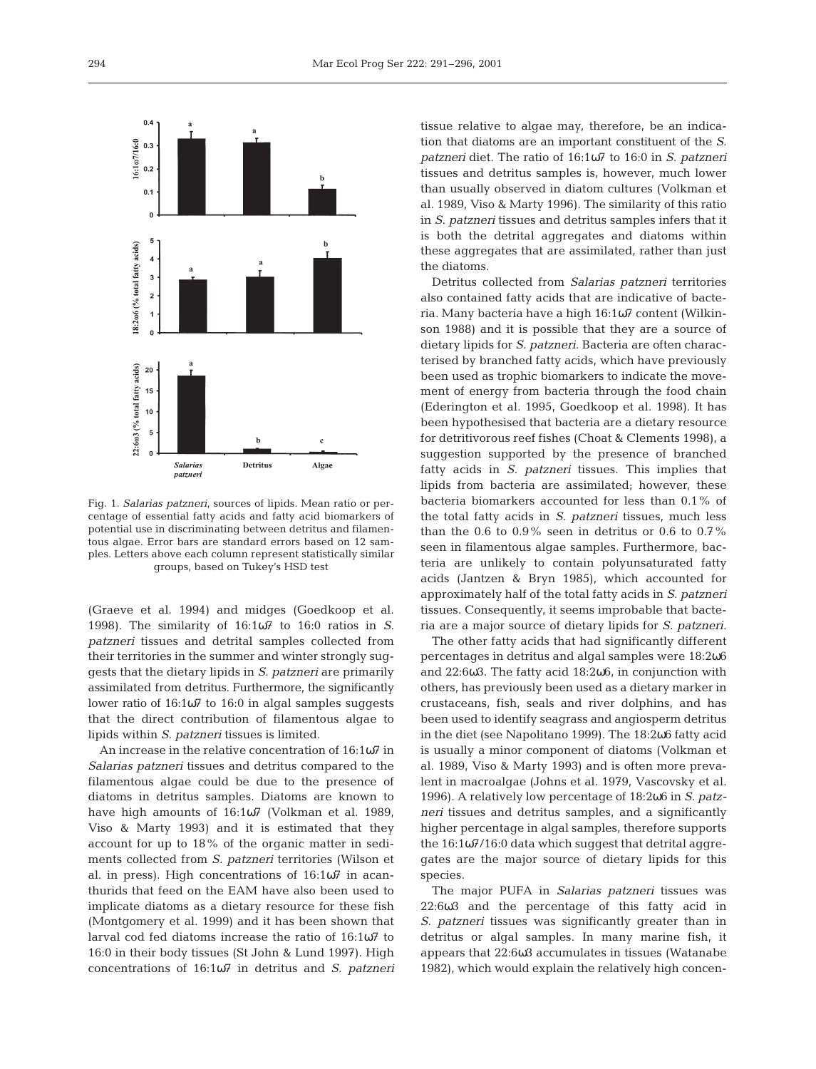

Fig. 1. *Salarias patzneri*, sources of lipids. Mean ratio or percentage of essential fatty acids and fatty acid biomarkers of potential use in discriminating between detritus and filamentous algae. Error bars are standard errors based on 12 samples. Letters above each column represent statistically similar groups, based on Tukey's HSD test

(Graeve et al. 1994) and midges (Goedkoop et al. 1998). The similarity of 16:1ω7 to 16:0 ratios in *S. patzneri* tissues and detrital samples collected from their territories in the summer and winter strongly suggests that the dietary lipids in *S. patzneri* are primarily assimilated from detritus. Furthermore, the significantly lower ratio of 16:1ω7 to 16:0 in algal samples suggests that the direct contribution of filamentous algae to lipids within *S. patzneri* tissues is limited.

An increase in the relative concentration of 16:1ω7 in *Salarias patzneri* tissues and detritus compared to the filamentous algae could be due to the presence of diatoms in detritus samples. Diatoms are known to have high amounts of 16:1ω7 (Volkman et al. 1989, Viso & Marty 1993) and it is estimated that they account for up to 18% of the organic matter in sediments collected from *S. patzneri* territories (Wilson et al. in press). High concentrations of 16:1ω7 in acanthurids that feed on the EAM have also been used to implicate diatoms as a dietary resource for these fish (Montgomery et al. 1999) and it has been shown that larval cod fed diatoms increase the ratio of 16:1ω7 to 16:0 in their body tissues (St John & Lund 1997). High concentrations of 16:1ω7 in detritus and *S. patzneri*

tissue relative to algae may, therefore, be an indication that diatoms are an important constituent of the *S. patzneri* diet. The ratio of 16:1ω7 to 16:0 in *S. patzneri* tissues and detritus samples is, however, much lower than usually observed in diatom cultures (Volkman et al. 1989, Viso & Marty 1996). The similarity of this ratio in *S. patzneri* tissues and detritus samples infers that it is both the detrital aggregates and diatoms within these aggregates that are assimilated, rather than just the diatoms.

Detritus collected from *Salarias patzneri* territories also contained fatty acids that are indicative of bacteria. Many bacteria have a high 16:1ω7 content (Wilkinson 1988) and it is possible that they are a source of dietary lipids for *S. patzneri*. Bacteria are often characterised by branched fatty acids, which have previously been used as trophic biomarkers to indicate the movement of energy from bacteria through the food chain (Ederington et al. 1995, Goedkoop et al. 1998). It has been hypothesised that bacteria are a dietary resource for detritivorous reef fishes (Choat & Clements 1998), a suggestion supported by the presence of branched fatty acids in *S. patzneri* tissues. This implies that lipids from bacteria are assimilated; however, these bacteria biomarkers accounted for less than 0.1% of the total fatty acids in *S. patzneri* tissues, much less than the 0.6 to 0.9% seen in detritus or 0.6 to 0.7% seen in filamentous algae samples. Furthermore, bacteria are unlikely to contain polyunsaturated fatty acids (Jantzen & Bryn 1985), which accounted for approximately half of the total fatty acids in *S. patzneri* tissues. Consequently, it seems improbable that bacteria are a major source of dietary lipids for *S. patzneri.*

The other fatty acids that had significantly different percentages in detritus and algal samples were 18:2ω6 and 22:6ω3. The fatty acid 18:2ω6, in conjunction with others, has previously been used as a dietary marker in crustaceans, fish, seals and river dolphins, and has been used to identify seagrass and angiosperm detritus in the diet (see Napolitano 1999). The 18:2ω6 fatty acid is usually a minor component of diatoms (Volkman et al. 1989, Viso & Marty 1993) and is often more prevalent in macroalgae (Johns et al. 1979, Vascovsky et al. 1996). A relatively low percentage of 18:2ω6 in *S. patzneri* tissues and detritus samples, and a significantly higher percentage in algal samples, therefore supports the 16:1ω7/16:0 data which suggest that detrital aggregates are the major source of dietary lipids for this species.

The major PUFA in *Salarias patzneri* tissues was 22:6ω3 and the percentage of this fatty acid in *S. patzneri* tissues was significantly greater than in detritus or algal samples. In many marine fish, it appears that 22:6ω3 accumulates in tissues (Watanabe 1982), which would explain the relatively high concen-

 $0.4$ 

 $0.2$  $02$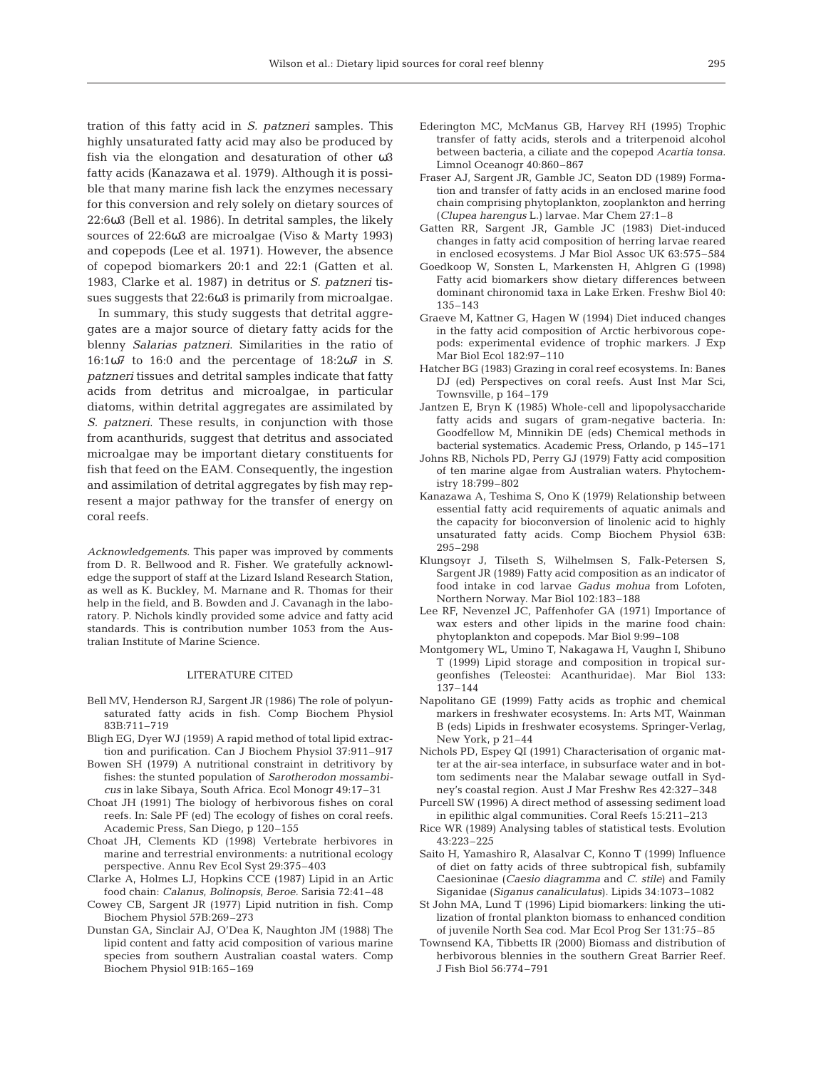tration of this fatty acid in *S. patzneri* samples. This highly unsaturated fatty acid may also be produced by fish via the elongation and desaturation of other ω3 fatty acids (Kanazawa et al. 1979). Although it is possible that many marine fish lack the enzymes necessary for this conversion and rely solely on dietary sources of 22:6ω3 (Bell et al. 1986). In detrital samples, the likely sources of 22:6ω3 are microalgae (Viso & Marty 1993) and copepods (Lee et al. 1971). However, the absence of copepod biomarkers 20:1 and 22:1 (Gatten et al. 1983, Clarke et al. 1987) in detritus or *S. patzneri* tissues suggests that 22:6ω3 is primarily from microalgae.

In summary, this study suggests that detrital aggregates are a major source of dietary fatty acids for the blenny *Salarias patzneri*. Similarities in the ratio of 16:1ω7 to 16:0 and the percentage of 18:2ω7 in *S. patzneri* tissues and detrital samples indicate that fatty acids from detritus and microalgae, in particular diatoms, within detrital aggregates are assimilated by *S. patzneri*. These results, in conjunction with those from acanthurids, suggest that detritus and associated microalgae may be important dietary constituents for fish that feed on the EAM. Consequently, the ingestion and assimilation of detrital aggregates by fish may represent a major pathway for the transfer of energy on coral reefs.

*Acknowledgements.* This paper was improved by comments from D. R. Bellwood and R. Fisher. We gratefully acknowledge the support of staff at the Lizard Island Research Station, as well as K. Buckley, M. Marnane and R. Thomas for their help in the field, and B. Bowden and J. Cavanagh in the laboratory. P. Nichols kindly provided some advice and fatty acid standards. This is contribution number 1053 from the Australian Institute of Marine Science.

## LITERATURE CITED

- Bell MV, Henderson RJ, Sargent JR (1986) The role of polyunsaturated fatty acids in fish. Comp Biochem Physiol 83B:711–719
- Bligh EG, Dyer WJ (1959) A rapid method of total lipid extraction and purification. Can J Biochem Physiol 37:911–917
- Bowen SH (1979) A nutritional constraint in detritivory by fishes: the stunted population of *Sarotherodon mossambicus* in lake Sibaya, South Africa. Ecol Monogr 49:17–31
- Choat JH (1991) The biology of herbivorous fishes on coral reefs. In: Sale PF (ed) The ecology of fishes on coral reefs. Academic Press, San Diego, p 120–155
- Choat JH, Clements KD (1998) Vertebrate herbivores in marine and terrestrial environments: a nutritional ecology perspective. Annu Rev Ecol Syst 29:375–403
- Clarke A, Holmes LJ, Hopkins CCE (1987) Lipid in an Artic food chain: *Calanus, Bolinopsis, Beroe.* Sarisia 72:41–48
- Cowey CB, Sargent JR (1977) Lipid nutrition in fish. Comp Biochem Physiol 57B:269–273
- Dunstan GA, Sinclair AJ, O'Dea K, Naughton JM (1988) The lipid content and fatty acid composition of various marine species from southern Australian coastal waters. Comp Biochem Physiol 91B:165–169
- Ederington MC, McManus GB, Harvey RH (1995) Trophic transfer of fatty acids, sterols and a triterpenoid alcohol between bacteria, a ciliate and the copepod *Acartia tonsa.* Limnol Oceanogr 40:860–867
- Fraser AJ, Sargent JR, Gamble JC, Seaton DD (1989) Formation and transfer of fatty acids in an enclosed marine food chain comprising phytoplankton, zooplankton and herring (*Clupea harengus* L.) larvae. Mar Chem 27:1–8
- Gatten RR, Sargent JR, Gamble JC (1983) Diet-induced changes in fatty acid composition of herring larvae reared in enclosed ecosystems. J Mar Biol Assoc UK 63:575–584
- Goedkoop W, Sonsten L, Markensten H, Ahlgren G (1998) Fatty acid biomarkers show dietary differences between dominant chironomid taxa in Lake Erken. Freshw Biol 40: 135–143
- Graeve M, Kattner G, Hagen W (1994) Diet induced changes in the fatty acid composition of Arctic herbivorous copepods: experimental evidence of trophic markers. J Exp Mar Biol Ecol 182:97–110
- Hatcher BG (1983) Grazing in coral reef ecosystems. In: Banes DJ (ed) Perspectives on coral reefs. Aust Inst Mar Sci, Townsville, p 164–179
- Jantzen E, Bryn K (1985) Whole-cell and lipopolysaccharide fatty acids and sugars of gram-negative bacteria. In: Goodfellow M, Minnikin DE (eds) Chemical methods in bacterial systematics. Academic Press, Orlando, p 145–171
- Johns RB, Nichols PD, Perry GJ (1979) Fatty acid composition of ten marine algae from Australian waters. Phytochemistry 18:799–802
- Kanazawa A, Teshima S, Ono K (1979) Relationship between essential fatty acid requirements of aquatic animals and the capacity for bioconversion of linolenic acid to highly unsaturated fatty acids. Comp Biochem Physiol 63B: 295–298
- Klungsoyr J, Tilseth S, Wilhelmsen S, Falk-Petersen S, Sargent JR (1989) Fatty acid composition as an indicator of food intake in cod larvae *Gadus mohua* from Lofoten, Northern Norway. Mar Biol 102:183–188
- Lee RF, Nevenzel JC, Paffenhofer GA (1971) Importance of wax esters and other lipids in the marine food chain: phytoplankton and copepods. Mar Biol 9:99–108
- Montgomery WL, Umino T, Nakagawa H, Vaughn I, Shibuno T (1999) Lipid storage and composition in tropical surgeonfishes (Teleostei: Acanthuridae). Mar Biol 133: 137–144
- Napolitano GE (1999) Fatty acids as trophic and chemical markers in freshwater ecosystems. In: Arts MT, Wainman B (eds) Lipids in freshwater ecosystems. Springer-Verlag, New York, p 21–44
- Nichols PD, Espey QI (1991) Characterisation of organic matter at the air-sea interface, in subsurface water and in bottom sediments near the Malabar sewage outfall in Sydney's coastal region. Aust J Mar Freshw Res 42:327–348
- Purcell SW (1996) A direct method of assessing sediment load in epilithic algal communities. Coral Reefs 15:211–213
- Rice WR (1989) Analysing tables of statistical tests. Evolution 43:223–225
- Saito H, Yamashiro R, Alasalvar C, Konno T (1999) Influence of diet on fatty acids of three subtropical fish, subfamily Caesioninae (*Caesio diagramma* and *C. stile*) and Family Siganidae (*Siganus canaliculatus*). Lipids 34:1073–1082
- St John MA, Lund T (1996) Lipid biomarkers: linking the utilization of frontal plankton biomass to enhanced condition of juvenile North Sea cod. Mar Ecol Prog Ser 131:75–85
- Townsend KA, Tibbetts IR (2000) Biomass and distribution of herbivorous blennies in the southern Great Barrier Reef. J Fish Biol 56:774–791